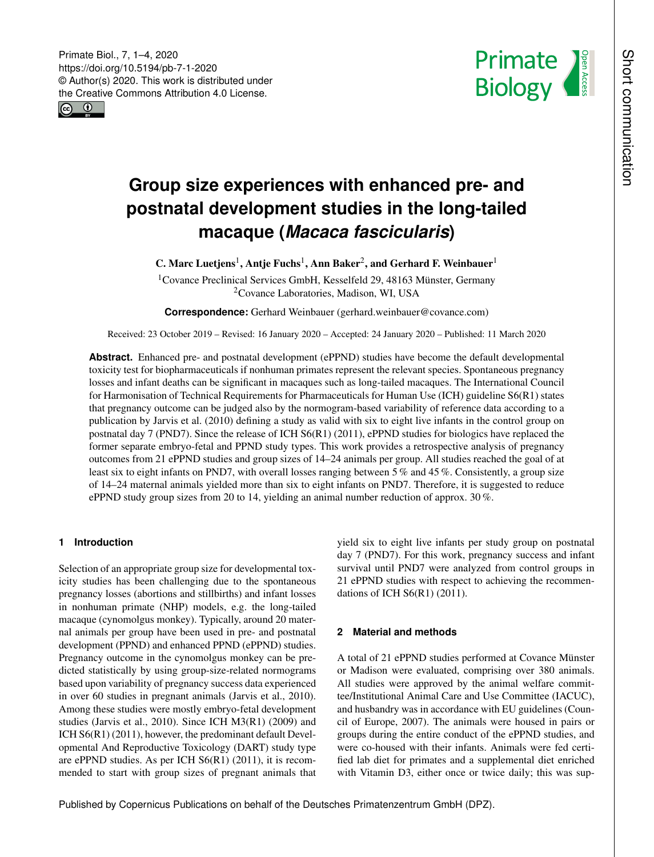Primate Biol., 7, 1–4, 2020 https://doi.org/10.5194/pb-7-1-2020 © Author(s) 2020. This work is distributed under the Creative Commons Attribution 4.0 License.





# **Group size experiences with enhanced pre- and postnatal development studies in the long-tailed macaque (***Macaca fascicularis***)**

C. Marc Luetjens<sup>[1](#page-0-0)</sup>, Antje Fuchs<sup>1</sup>, Ann Baker<sup>[2](#page-0-0)</sup>, and Gerhard F. Weinbauer<sup>1</sup>

<sup>1</sup>Covance Preclinical Services GmbH, Kesselfeld 29, 48163 Münster, Germany <sup>2</sup>Covance Laboratories, Madison, WI, USA

**Correspondence:** Gerhard Weinbauer (gerhard.weinbauer@covance.com)

Received: 23 October 2019 – Revised: 16 January 2020 – Accepted: 24 January 2020 – Published: 11 March 2020

**Abstract.** Enhanced pre- and postnatal development (ePPND) studies have become the default developmental toxicity test for biopharmaceuticals if nonhuman primates represent the relevant species. Spontaneous pregnancy losses and infant deaths can be significant in macaques such as long-tailed macaques. The International Council for Harmonisation of Technical Requirements for Pharmaceuticals for Human Use (ICH) guideline S6(R1) states that pregnancy outcome can be judged also by the normogram-based variability of reference data according to a publication by Jarvis et al. (2010) defining a study as valid with six to eight live infants in the control group on postnatal day 7 (PND7). Since the release of ICH S6(R1) (2011), ePPND studies for biologics have replaced the former separate embryo-fetal and PPND study types. This work provides a retrospective analysis of pregnancy outcomes from 21 ePPND studies and group sizes of 14–24 animals per group. All studies reached the goal of at least six to eight infants on PND7, with overall losses ranging between 5 % and 45 %. Consistently, a group size of 14–24 maternal animals yielded more than six to eight infants on PND7. Therefore, it is suggested to reduce ePPND study group sizes from 20 to 14, yielding an animal number reduction of approx. 30 %.

## <span id="page-0-0"></span>**1 Introduction**

Selection of an appropriate group size for developmental toxicity studies has been challenging due to the spontaneous pregnancy losses (abortions and stillbirths) and infant losses in nonhuman primate (NHP) models, e.g. the long-tailed macaque (cynomolgus monkey). Typically, around 20 maternal animals per group have been used in pre- and postnatal development (PPND) and enhanced PPND (ePPND) studies. Pregnancy outcome in the cynomolgus monkey can be predicted statistically by using group-size-related normograms based upon variability of pregnancy success data experienced in over 60 studies in pregnant animals (Jarvis et al., 2010). Among these studies were mostly embryo-fetal development studies (Jarvis et al., 2010). Since ICH M3(R1) (2009) and ICH S6(R1) (2011), however, the predominant default Developmental And Reproductive Toxicology (DART) study type are ePPND studies. As per ICH S6(R1) (2011), it is recommended to start with group sizes of pregnant animals that yield six to eight live infants per study group on postnatal day 7 (PND7). For this work, pregnancy success and infant survival until PND7 were analyzed from control groups in 21 ePPND studies with respect to achieving the recommendations of ICH S6(R1) (2011).

## **2 Material and methods**

A total of 21 ePPND studies performed at Covance Münster or Madison were evaluated, comprising over 380 animals. All studies were approved by the animal welfare committee/Institutional Animal Care and Use Committee (IACUC), and husbandry was in accordance with EU guidelines (Council of Europe, 2007). The animals were housed in pairs or groups during the entire conduct of the ePPND studies, and were co-housed with their infants. Animals were fed certified lab diet for primates and a supplemental diet enriched with Vitamin D3, either once or twice daily; this was sup-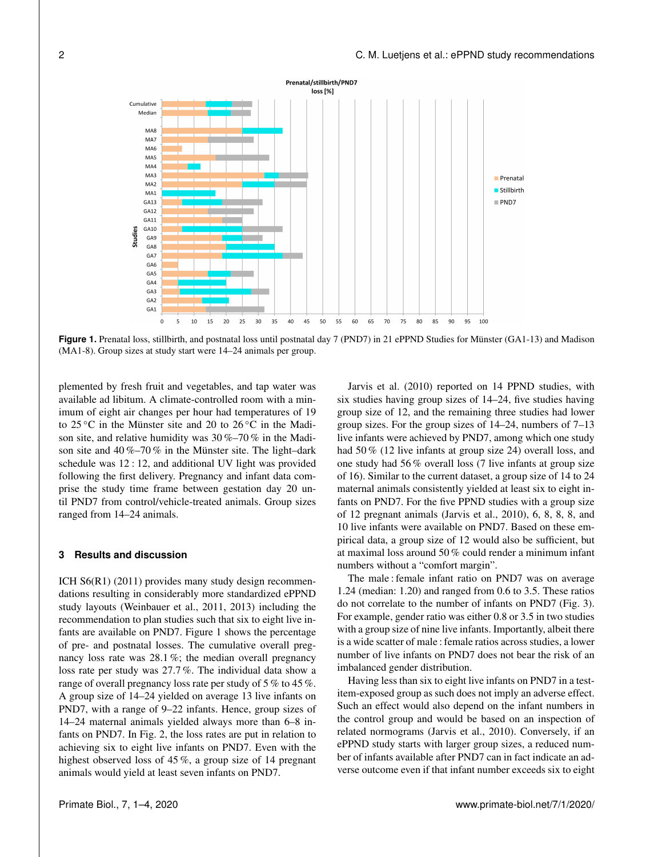Prenatal/stillbirth/PND7 loss [%] Cumulative Mediar MAS MA7 MA6 MA5 MA4 MA3 **Prenatal** MA<sub>2</sub> Stillbirth MA: PND7 GA13 GA12 GA11 GA10 Studies GAS **GA8** GA7 GA6 GA5 GA4 GA3 GA2 GA<sub>1</sub> 30 35  $40\,$  $\bf 45$  $\mathbf 0$ 5 10 15 20 25 50 55 60 65 70 75 80 85 90 95

**Figure 1.** Prenatal loss, stillbirth, and postnatal loss until postnatal day 7 (PND7) in 21 ePPND Studies for Münster (GA1-13) and Madison (MA1-8). Group sizes at study start were 14–24 animals per group.

plemented by fresh fruit and vegetables, and tap water was available ad libitum. A climate-controlled room with a minimum of eight air changes per hour had temperatures of 19 to  $25^{\circ}$ C in the Münster site and 20 to  $26^{\circ}$ C in the Madison site, and relative humidity was 30 %–70 % in the Madison site and 40 %–70 % in the Münster site. The light–dark schedule was 12 : 12, and additional UV light was provided following the first delivery. Pregnancy and infant data comprise the study time frame between gestation day 20 until PND7 from control/vehicle-treated animals. Group sizes ranged from 14–24 animals.

### **3 Results and discussion**

ICH S6(R1) (2011) provides many study design recommendations resulting in considerably more standardized ePPND study layouts (Weinbauer et al., 2011, 2013) including the recommendation to plan studies such that six to eight live infants are available on PND7. Figure 1 shows the percentage of pre- and postnatal losses. The cumulative overall pregnancy loss rate was 28.1 %; the median overall pregnancy loss rate per study was 27.7 %. The individual data show a range of overall pregnancy loss rate per study of 5 % to 45 %. A group size of 14–24 yielded on average 13 live infants on PND7, with a range of 9–22 infants. Hence, group sizes of 14–24 maternal animals yielded always more than 6–8 infants on PND7. In Fig. 2, the loss rates are put in relation to achieving six to eight live infants on PND7. Even with the highest observed loss of 45 %, a group size of 14 pregnant animals would yield at least seven infants on PND7.

Jarvis et al. (2010) reported on 14 PPND studies, with six studies having group sizes of 14–24, five studies having group size of 12, and the remaining three studies had lower group sizes. For the group sizes of 14–24, numbers of 7–13 live infants were achieved by PND7, among which one study had 50 % (12 live infants at group size 24) overall loss, and one study had 56 % overall loss (7 live infants at group size of 16). Similar to the current dataset, a group size of 14 to 24 maternal animals consistently yielded at least six to eight infants on PND7. For the five PPND studies with a group size of 12 pregnant animals (Jarvis et al., 2010), 6, 8, 8, 8, and 10 live infants were available on PND7. Based on these empirical data, a group size of 12 would also be sufficient, but at maximal loss around 50 % could render a minimum infant numbers without a "comfort margin".

The male : female infant ratio on PND7 was on average 1.24 (median: 1.20) and ranged from 0.6 to 3.5. These ratios do not correlate to the number of infants on PND7 (Fig. 3). For example, gender ratio was either 0.8 or 3.5 in two studies with a group size of nine live infants. Importantly, albeit there is a wide scatter of male : female ratios across studies, a lower number of live infants on PND7 does not bear the risk of an imbalanced gender distribution.

Having less than six to eight live infants on PND7 in a testitem-exposed group as such does not imply an adverse effect. Such an effect would also depend on the infant numbers in the control group and would be based on an inspection of related normograms (Jarvis et al., 2010). Conversely, if an ePPND study starts with larger group sizes, a reduced number of infants available after PND7 can in fact indicate an adverse outcome even if that infant number exceeds six to eight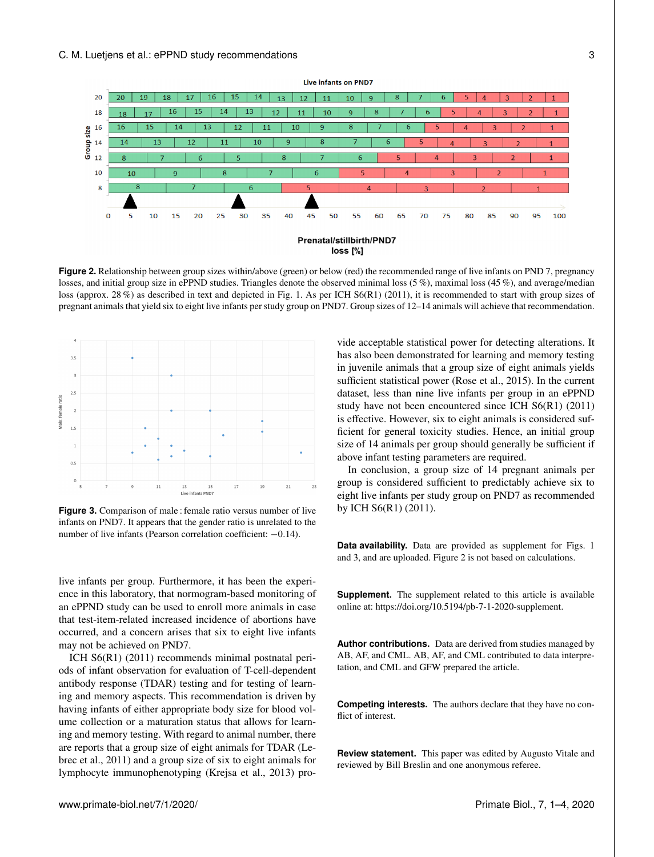



**Figure 2.** Relationship between group sizes within/above (green) or below (red) the recommended range of live infants on PND 7, pregnancy losses, and initial group size in ePPND studies. Triangles denote the observed minimal loss (5%), maximal loss (45%), and average/median loss (approx. 28%) as described in text and depicted in Fig. 1. As per ICH S6(R1) (2011), it is recommended to start with group sizes of pregnant animals that yield six to eight live infants per study group on PND7. Group sizes of 12–14 animals will achieve that recommendation.



**Figure 3.** Comparison of male : female ratio versus number of live infants on PND7. It appears that the gender ratio is unrelated to the number of live infants (Pearson correlation coefficient: −0.14).

live infants per group. Furthermore, it has been the experience in this laboratory, that normogram-based monitoring of an ePPND study can be used to enroll more animals in case that test-item-related increased incidence of abortions have occurred, and a concern arises that six to eight live infants may not be achieved on PND7.

ICH S6(R1) (2011) recommends minimal postnatal periods of infant observation for evaluation of T-cell-dependent antibody response (TDAR) testing and for testing of learning and memory aspects. This recommendation is driven by having infants of either appropriate body size for blood volume collection or a maturation status that allows for learning and memory testing. With regard to animal number, there are reports that a group size of eight animals for TDAR (Lebrec et al., 2011) and a group size of six to eight animals for lymphocyte immunophenotyping (Krejsa et al., 2013) provide acceptable statistical power for detecting alterations. It has also been demonstrated for learning and memory testing in juvenile animals that a group size of eight animals yields sufficient statistical power (Rose et al., 2015). In the current dataset, less than nine live infants per group in an ePPND study have not been encountered since ICH S6(R1) (2011) is effective. However, six to eight animals is considered sufficient for general toxicity studies. Hence, an initial group size of 14 animals per group should generally be sufficient if above infant testing parameters are required.

In conclusion, a group size of 14 pregnant animals per group is considered sufficient to predictably achieve six to eight live infants per study group on PND7 as recommended by ICH S6(R1) (2011).

**Data availability.** Data are provided as supplement for Figs. 1 and 3, and are uploaded. Figure 2 is not based on calculations.

**Supplement.** The supplement related to this article is available online at: [https://doi.org/10.5194/pb-7-1-2020-supplement.](https://doi.org/10.5194/pb-7-1-2020-supplement)

**Author contributions.** Data are derived from studies managed by AB, AF, and CML. AB, AF, and CML contributed to data interpretation, and CML and GFW prepared the article.

**Competing interests.** The authors declare that they have no conflict of interest.

**Review statement.** This paper was edited by Augusto Vitale and reviewed by Bill Breslin and one anonymous referee.